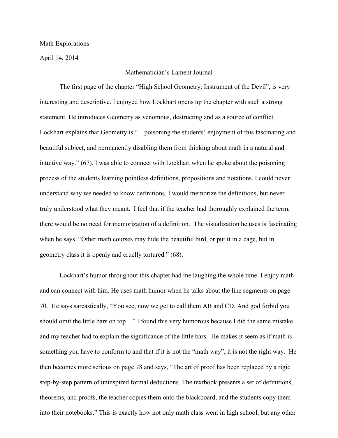## Math Explorations

April 14, 2014

## Mathematician's Lament Journal

The first page of the chapter "High School Geometry: Instrument of the Devil", is very interesting and descriptive. I enjoyed how Lockhart opens up the chapter with such a strong statement. He introduces Geometry as venomous, destructing and as a source of conflict. Lockhart explains that Geometry is "…poisoning the students' enjoyment of this fascinating and beautiful subject, and permanently disabling them from thinking about math in a natural and intuitive way." (67). I was able to connect with Lockhart when he spoke about the poisoning process of the students learning pointless definitions, propositions and notations. I could never understand why we needed to know definitions. I would memorize the definitions, but never truly understood what they meant. I feel that if the teacher had thoroughly explained the term, there would be no need for memorization of a definition. The visualization he uses is fascinating when he says, "Other math courses may hide the beautiful bird, or put it in a cage, but in geometry class it is openly and cruelly tortured." (68).

Lockhart's humor throughout this chapter had me laughing the whole time. I enjoy math and can connect with him. He uses math humor when he talks about the line segments on page 70. He says sarcastically, "You see, now we get to call them AB and CD. And god forbid you should omit the little bars on top…" I found this very humorous because I did the same mistake and my teacher had to explain the significance of the little bars. He makes it seem as if math is something you have to conform to and that if it is not the "math way", it is not the right way. He then becomes more serious on page 78 and says, "The art of proof has been replaced by a rigid step-by-step pattern of uninspired formal deductions. The textbook presents a set of definitions, theorems, and proofs, the teacher copies them onto the blackboard, and the students copy them into their notebooks." This is exactly how not only math class went in high school, but any other